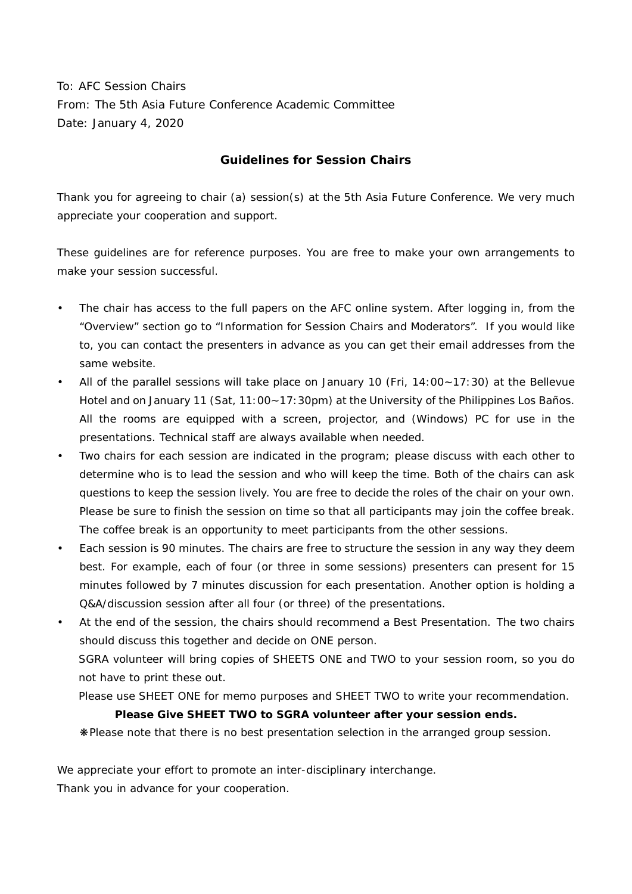To: AFC Session Chairs From: The 5th Asia Future Conference Academic Committee Date: January 4, 2020

## **Guidelines for Session Chairs**

Thank you for agreeing to chair (a) session(s) at the 5th Asia Future Conference. We very much appreciate your cooperation and support.

These guidelines are for reference purposes. You are free to make your own arrangements to make your session successful.

- The chair has access to the full papers on the AFC online system. After logging in, from the "Overview" section go to "Information for Session Chairs and Moderators". If you would like to, you can contact the presenters in advance as you can get their email addresses from the same website.
- All of the parallel sessions will take place on January 10 (Fri, 14:00~17:30) at the Bellevue Hotel and on January 11 (Sat, 11:00~17:30pm) at the University of the Philippines Los Baños. All the rooms are equipped with a screen, projector, and (Windows) PC for use in the presentations. Technical staff are always available when needed.
- Two chairs for each session are indicated in the program; please discuss with each other to determine who is to lead the session and who will keep the time. Both of the chairs can ask questions to keep the session lively. You are free to decide the roles of the chair on your own. Please be sure to finish the session on time so that all participants may join the coffee break. The coffee break is an opportunity to meet participants from the other sessions.
- Each session is 90 minutes. The chairs are free to structure the session in any way they deem best. For example, each of four (or three in some sessions) presenters can present for 15 minutes followed by 7 minutes discussion for each presentation. Another option is holding a Q&A/discussion session after all four (or three) of the presentations.
- At the end of the session, the chairs should recommend a Best Presentation. The two chairs should discuss this together and decide on ONE person.

SGRA volunteer will bring copies of SHEETS ONE and TWO to your session room, so you do not have to print these out.

Please use SHEET ONE for memo purposes and SHEET TWO to write your recommendation.

## **Please Give SHEET TWO to SGRA volunteer after your session ends.**

❋Please note that there is no best presentation selection in the arranged group session.

We appreciate your effort to promote an inter-disciplinary interchange.

Thank you in advance for your cooperation.